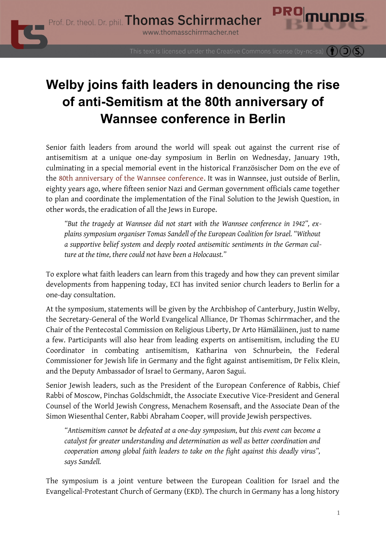

## **Welby joins faith leaders in denouncing the rise of anti-Semitism at the 80th anniversary of Wannsee conference in Berlin**

Senior faith leaders from around the world will speak out against the current rise of antisemitism at a unique one-day symposium in Berlin on Wednesday, January 19th, culminating in a special memorial event in the historical Französischer Dom on the eve of the [80th anniversary of the Wannsee conference](https://www.thomasschirrmacher.net/blog/fight-antisemitism-protect-jewish-life/). It was in Wannsee, just outside of Berlin, eighty years ago, where fifteen senior Nazi and German government officials came together to plan and coordinate the implementation of the Final Solution to the Jewish Question, in other words, the eradication of all the Jews in Europe.

*"But the tragedy at Wannsee did not start with the Wannsee conference in 1942", explains symposium organiser Tomas Sandell of the European Coalition for Israel. "Without a supportive belief system and deeply rooted antisemitic sentiments in the German culture at the time, there could not have been a Holocaust."*

To explore what faith leaders can learn from this tragedy and how they can prevent similar developments from happening today, ECI has invited senior church leaders to Berlin for a one-day consultation.

At the symposium, statements will be given by the Archbishop of Canterbury, Justin Welby, the Secretary-General of the World Evangelical Alliance, Dr Thomas Schirrmacher, and the Chair of the Pentecostal Commission on Religious Liberty, Dr Arto Hämäläinen, just to name a few. Participants will also hear from leading experts on antisemitism, including the EU Coordinator in combating antisemitism, Katharina von Schnurbein, the Federal Commissioner for Jewish life in Germany and the fight against antisemitism, Dr Felix Klein, and the Deputy Ambassador of Israel to Germany, Aaron Sagui.

Senior Jewish leaders, such as the President of the European Conference of Rabbis, Chief Rabbi of Moscow, Pinchas Goldschmidt, the Associate Executive Vice-President and General Counsel of the World Jewish Congress, Menachem Rosensaft, and the Associate Dean of the Simon Wiesenthal Center, Rabbi Abraham Cooper, will provide Jewish perspectives.

*"Antisemitism cannot be defeated at a one-day symposium, but this event can become a catalyst for greater understanding and determination as well as better coordination and cooperation among global faith leaders to take on the fight against this deadly virus", says Sandell.*

The symposium is a joint venture between the European Coalition for Israel and the Evangelical-Protestant Church of Germany (EKD). The church in Germany has a long history